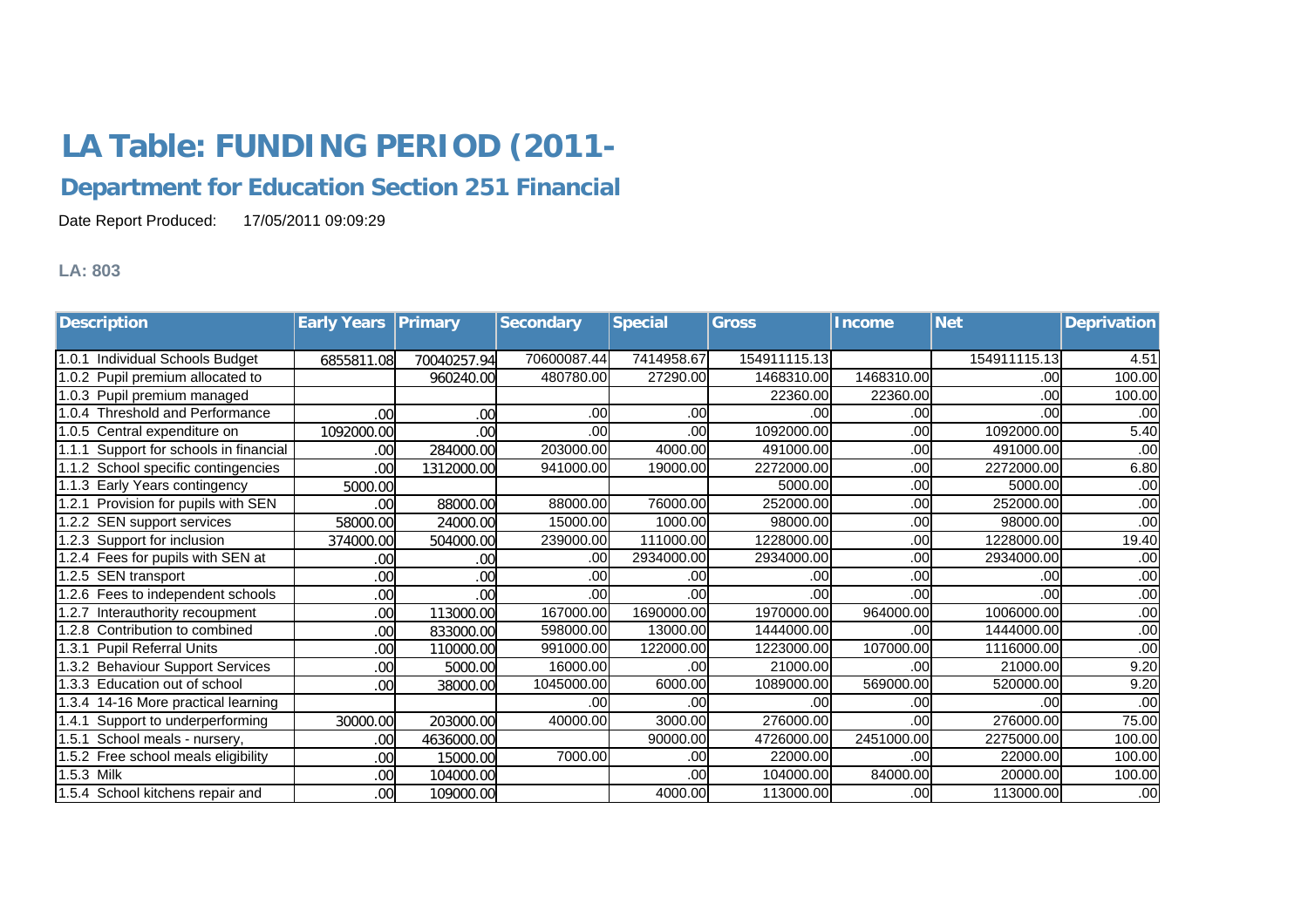## **LA Table: FUNDING PERIOD (2011-**

## **Department for Education Section 251 Financial**

Date Report Produced: 17/05/2011 09:09:29

## **LA: 803**

| <b>Description</b>                        | <b>Early Years Primary</b> |             | <b>Secondary</b> | <b>Special</b> | <b>Gross</b> | <b>Income</b> | <b>Net</b>   | <b>Deprivation</b> |
|-------------------------------------------|----------------------------|-------------|------------------|----------------|--------------|---------------|--------------|--------------------|
|                                           |                            |             |                  |                |              |               |              |                    |
| 1.0.1 Individual Schools Budget           | 6855811.08                 | 70040257.94 | 70600087.44      | 7414958.67     | 154911115.13 |               | 154911115.13 | 4.51               |
| 1.0.2 Pupil premium allocated to          |                            | 960240.00   | 480780.00        | 27290.00       | 1468310.00   | 1468310.00    | .00          | 100.00             |
| 1.0.3 Pupil premium managed               |                            |             |                  |                | 22360.00     | 22360.00      | .00          | 100.00             |
| 1.0.4 Threshold and Performance           | .00                        | .00         | .00              | .00            | .00          | .00           | .00          | .00                |
| 1.0.5 Central expenditure on              | 1092000.00                 | .00         | .00              | .00            | 1092000.00   | .00           | 1092000.00   | 5.40               |
| Support for schools in financial<br>1.1.1 | .00                        | 284000.00   | 203000.00        | 4000.00        | 491000.00    | .00           | 491000.00    | .00                |
| 1.1.2 School specific contingencies       | .00                        | 1312000.00  | 941000.00        | 19000.00       | 2272000.00   | .00           | 2272000.00   | 6.80               |
| 1.1.3 Early Years contingency             | 5000.00                    |             |                  |                | 5000.00      | .00           | 5000.00      | .00                |
| 1.2.1 Provision for pupils with SEN       | .00                        | 88000.00    | 88000.00         | 76000.00       | 252000.00    | .00           | 252000.00    | .00                |
| 1.2.2 SEN support services                | 58000.00                   | 24000.00    | 15000.00         | 1000.00        | 98000.00     | .00           | 98000.00     | .00                |
| 1.2.3 Support for inclusion               | 374000.00                  | 504000.00   | 239000.00        | 111000.00      | 1228000.00   | .00           | 1228000.00   | 19.40              |
| 1.2.4 Fees for pupils with SEN at         | 00                         | .00         | .00              | 2934000.00     | 2934000.00   | .00           | 2934000.00   | .00                |
| 1.2.5 SEN transport                       | .00                        | .00         | .00              | .00            | .00          | .00           | .00          | .00                |
| 1.2.6 Fees to independent schools         | .00                        | .00         | .00              | .00            | .00          | .00           | .00          | .00                |
| 1.2.7 Interauthority recoupment           | .00                        | 113000.00   | 167000.00        | 1690000.00     | 1970000.00   | 964000.00     | 1006000.00   | .00                |
| 1.2.8 Contribution to combined            | 00                         | 833000.00   | 598000.00        | 13000.00       | 1444000.00   | .00           | 1444000.00   | .00                |
| 1.3.1 Pupil Referral Units                | .00                        | 110000.00   | 991000.00        | 122000.00      | 1223000.00   | 107000.00     | 1116000.00   | .00                |
| 1.3.2 Behaviour Support Services          | .00                        | 5000.00     | 16000.00         | .00            | 21000.00     | .00           | 21000.00     | 9.20               |
| 1.3.3 Education out of school             | .00                        | 38000.00    | 1045000.00       | 6000.00        | 1089000.00   | 569000.00     | 520000.00    | 9.20               |
| 1.3.4 14-16 More practical learning       |                            |             | .00              | .00            | .00          | .00           | .00          | .00                |
| Support to underperforming<br>1.4.1       | 30000.00                   | 203000.00   | 40000.00         | 3000.00        | 276000.00    | .00           | 276000.00    | 75.00              |
| 1.5.1 School meals - nursery,             | .00                        | 4636000.00  |                  | 90000.00       | 4726000.00   | 2451000.00    | 2275000.00   | 100.00             |
| 1.5.2 Free school meals eligibility       | .00                        | 15000.00    | 7000.00          | .00            | 22000.00     | .00           | 22000.00     | 100.00             |
| 1.5.3 Milk                                | 00                         | 104000.00   |                  | .00            | 104000.00    | 84000.00      | 20000.00     | 100.00             |
| 1.5.4 School kitchens repair and          | .00                        | 109000.00   |                  | 4000.00        | 113000.00    | .00           | 113000.00    | .00                |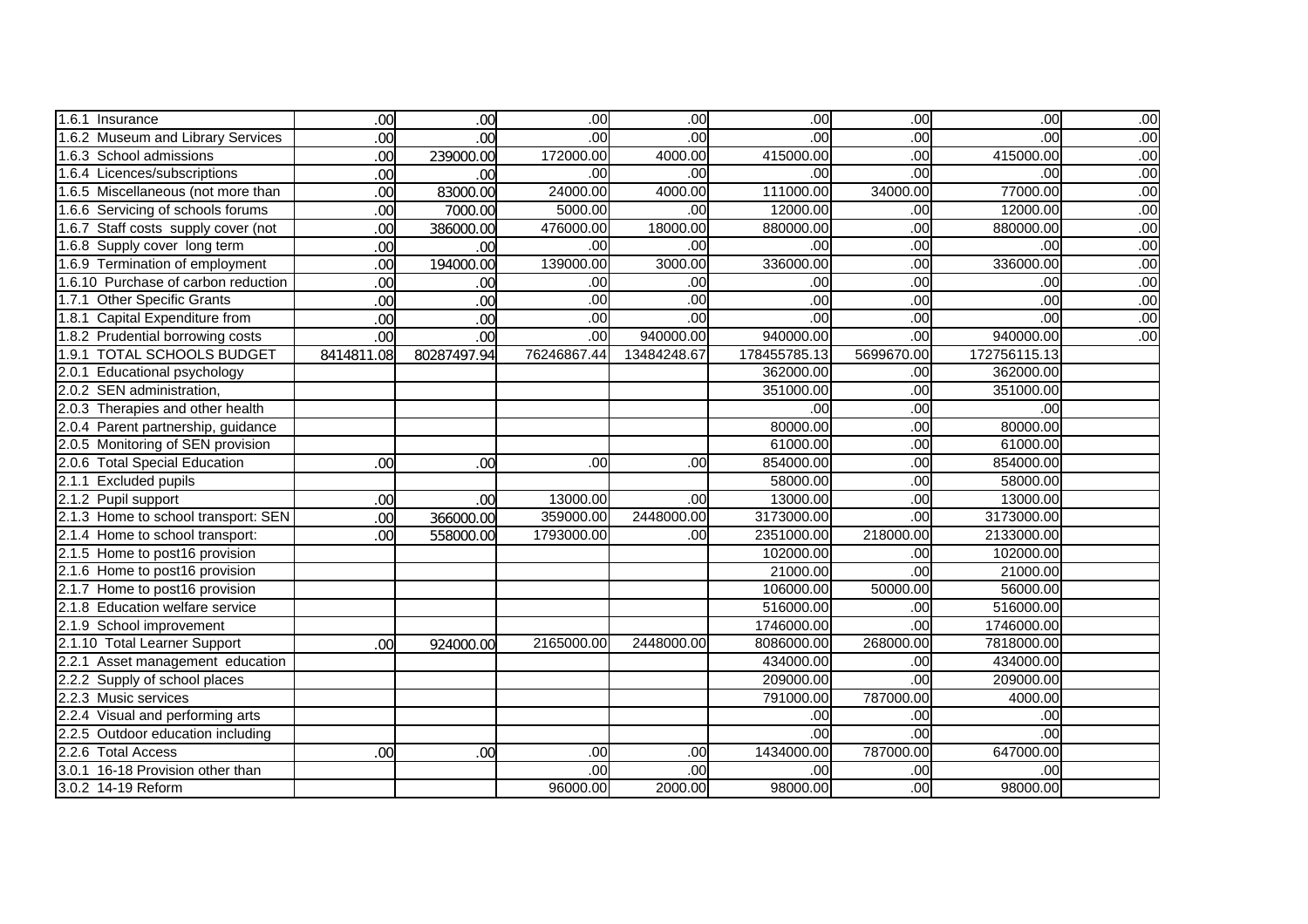| 1.6.1 Insurance                       | .00        | .00         | .00            | .00         | .00            | .00        | .00            | .00 |
|---------------------------------------|------------|-------------|----------------|-------------|----------------|------------|----------------|-----|
| 1.6.2 Museum and Library Services     | .00        | .00         | $\overline{8}$ | .00         | .00            | .00        | .00            | .00 |
| 1.6.3 School admissions               | .00        | 239000.00   | 172000.00      | 4000.00     | 415000.00      | .00        | 415000.00      | .00 |
| 1.6.4 Licences/subscriptions          | .00        | .00         | $\overline{8}$ | .00         | $\overline{8}$ | .00        | .00            | .00 |
| 1.6.5 Miscellaneous (not more than    | .00        | 83000.00    | 24000.00       | 4000.00     | 111000.00      | 34000.00   | 77000.00       | .00 |
| 1.6.6 Servicing of schools forums     | .00        | 7000.00     | 5000.00        | .00         | 12000.00       | .00        | 12000.00       | .00 |
| 1.6.7 Staff costs supply cover (not   | .00        | 386000.00   | 476000.00      | 18000.00    | 880000.00      | .00        | 880000.00      | .00 |
| 1.6.8 Supply cover long term          | .00        | .00         | .00            | .00         | $\overline{8}$ | .00        | .00            | .00 |
| 1.6.9 Termination of employment       | .00        | 194000.00   | 139000.00      | 3000.00     | 336000.00      | .00        | 336000.00      | .00 |
| 1.6.10 Purchase of carbon reduction   | .00        | .00         | .00            | .00         | $\overline{8}$ | .00        | .00            | .00 |
| 1.7.1<br><b>Other Specific Grants</b> | .00        | .00         | $\overline{8}$ | .00         | .00            | .00        | $\overline{8}$ | .00 |
| 1.8.1 Capital Expenditure from        | .00        | .00         | .00            | .00         | .00            | .00        | .00            | .00 |
| 1.8.2 Prudential borrowing costs      | .00        | .00         | $\overline{8}$ | 940000.00   | 940000.00      | .00        | 940000.00      | .00 |
| 1.9.1 TOTAL SCHOOLS BUDGET            | 8414811.08 | 80287497.94 | 76246867.44    | 13484248.67 | 178455785.13   | 5699670.00 | 172756115.13   |     |
| 2.0.1 Educational psychology          |            |             |                |             | 362000.00      | .00        | 362000.00      |     |
| 2.0.2 SEN administration,             |            |             |                |             | 351000.00      | .00        | 351000.00      |     |
| 2.0.3 Therapies and other health      |            |             |                |             | .00            | .00        | .00            |     |
| 2.0.4 Parent partnership, guidance    |            |             |                |             | 80000.00       | .00        | 80000.00       |     |
| 2.0.5 Monitoring of SEN provision     |            |             |                |             | 61000.00       | .00        | 61000.00       |     |
| 2.0.6 Total Special Education         | .00        | .00         | $\overline{8}$ | .00         | 854000.00      | .00        | 854000.00      |     |
| 2.1.1 Excluded pupils                 |            |             |                |             | 58000.00       | .00        | 58000.00       |     |
| 2.1.2 Pupil support                   | .00        | .00         | 13000.00       | .00         | 13000.00       | .00        | 13000.00       |     |
| 2.1.3 Home to school transport: SEN   | .00        | 366000.00   | 359000.00      | 2448000.00  | 3173000.00     | .00        | 3173000.00     |     |
| 2.1.4 Home to school transport:       | .00        | 558000.00   | 1793000.00     | .00         | 2351000.00     | 218000.00  | 2133000.00     |     |
| 2.1.5 Home to post16 provision        |            |             |                |             | 102000.00      | .00        | 102000.00      |     |
| 2.1.6 Home to post16 provision        |            |             |                |             | 21000.00       | .00        | 21000.00       |     |
| 2.1.7 Home to post16 provision        |            |             |                |             | 106000.00      | 50000.00   | 56000.00       |     |
| 2.1.8 Education welfare service       |            |             |                |             | 516000.00      | .00        | 516000.00      |     |
| 2.1.9 School improvement              |            |             |                |             | 1746000.00     | .00        | 1746000.00     |     |
| 2.1.10 Total Learner Support          | .00        | 924000.00   | 2165000.00     | 2448000.00  | 8086000.00     | 268000.00  | 7818000.00     |     |
| 2.2.1 Asset management education      |            |             |                |             | 434000.00      | .00        | 434000.00      |     |
| 2.2.2 Supply of school places         |            |             |                |             | 209000.00      | .00        | 209000.00      |     |
| 2.2.3 Music services                  |            |             |                |             | 791000.00      | 787000.00  | 4000.00        |     |
| 2.2.4 Visual and performing arts      |            |             |                |             | .00            | .00        | .00            |     |
| 2.2.5 Outdoor education including     |            |             |                |             | .00            | .00        | $\overline{8}$ |     |
| 2.2.6 Total Access                    | .00        | .00         | .00            | .00         | 1434000.00     | 787000.00  | 647000.00      |     |
| 3.0.1 16-18 Provision other than      |            |             | $\overline{8}$ | .00         | .00            | .00        | $\overline{8}$ |     |
| 3.0.2 14-19 Reform                    |            |             | 96000.00       | 2000.00     | 98000.00       | .00        | 98000.00       |     |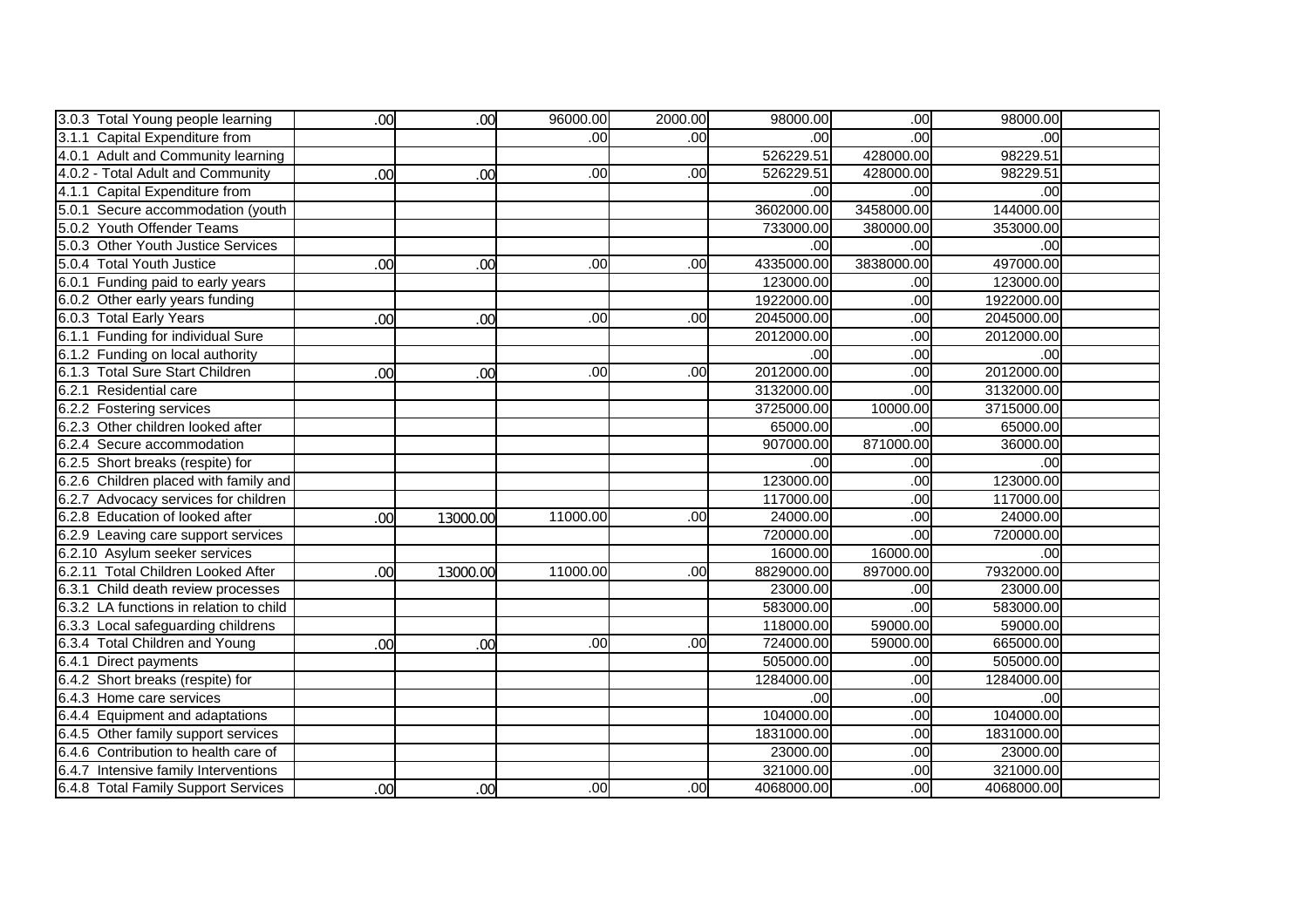| 3.0.3 Total Young people learning       | .00 | .00 <sub>1</sub> | 96000.00 | 2000.00 | 98000.00       | .00              | 98000.00   |  |
|-----------------------------------------|-----|------------------|----------|---------|----------------|------------------|------------|--|
| 3.1.1 Capital Expenditure from          |     |                  | .00.     | .00     | .00            | .00 <sub>1</sub> | .00        |  |
| 4.0.1 Adult and Community learning      |     |                  |          |         | 526229.51      | 428000.00        | 98229.51   |  |
| 4.0.2 - Total Adult and Community       | .00 | .00              | .00      | .00     | 526229.51      | 428000.00        | 98229.51   |  |
| 4.1.1 Capital Expenditure from          |     |                  |          |         | .00            | .00              | .00        |  |
| 5.0.1 Secure accommodation (youth       |     |                  |          |         | 3602000.00     | 3458000.00       | 144000.00  |  |
| 5.0.2 Youth Offender Teams              |     |                  |          |         | 733000.00      | 380000.00        | 353000.00  |  |
| 5.0.3 Other Youth Justice Services      |     |                  |          |         | $\overline{8}$ | .00              | .00        |  |
| 5.0.4 Total Youth Justice               | .00 | .00              | .00      | .00     | 4335000.00     | 3838000.00       | 497000.00  |  |
| 6.0.1 Funding paid to early years       |     |                  |          |         | 123000.00      | .00              | 123000.00  |  |
| 6.0.2 Other early years funding         |     |                  |          |         | 1922000.00     | .00              | 1922000.00 |  |
| 6.0.3 Total Early Years                 | .00 | .00              | .00      | .00     | 2045000.00     | .00              | 2045000.00 |  |
| 6.1.1 Funding for individual Sure       |     |                  |          |         | 2012000.00     | .00              | 2012000.00 |  |
| 6.1.2 Funding on local authority        |     |                  |          |         | .00            | .00              | .00        |  |
| 6.1.3 Total Sure Start Children         | .00 | .00              | .00      | .00     | 2012000.00     | .00              | 2012000.00 |  |
| 6.2.1 Residential care                  |     |                  |          |         | 3132000.00     | .00              | 3132000.00 |  |
| 6.2.2 Fostering services                |     |                  |          |         | 3725000.00     | 10000.00         | 3715000.00 |  |
| 6.2.3 Other children looked after       |     |                  |          |         | 65000.00       | .00              | 65000.00   |  |
| 6.2.4 Secure accommodation              |     |                  |          |         | 907000.00      | 871000.00        | 36000.00   |  |
| 6.2.5 Short breaks (respite) for        |     |                  |          |         | .00            | .00              | .00        |  |
| 6.2.6 Children placed with family and   |     |                  |          |         | 123000.00      | .00              | 123000.00  |  |
| 6.2.7 Advocacy services for children    |     |                  |          |         | 117000.00      | .00              | 117000.00  |  |
| 6.2.8 Education of looked after         | .00 | 13000.00         | 11000.00 | .00     | 24000.00       | .00              | 24000.00   |  |
| 6.2.9 Leaving care support services     |     |                  |          |         | 720000.00      | .00              | 720000.00  |  |
| 6.2.10 Asylum seeker services           |     |                  |          |         | 16000.00       | 16000.00         | .00        |  |
| 6.2.11 Total Children Looked After      | .00 | 13000.00         | 11000.00 | .00     | 8829000.00     | 897000.00        | 7932000.00 |  |
| 6.3.1 Child death review processes      |     |                  |          |         | 23000.00       | .00              | 23000.00   |  |
| 6.3.2 LA functions in relation to child |     |                  |          |         | 583000.00      | .00              | 583000.00  |  |
| 6.3.3 Local safeguarding childrens      |     |                  |          |         | 118000.00      | 59000.00         | 59000.00   |  |
| 6.3.4 Total Children and Young          | .00 | .00              | .00      | .00     | 724000.00      | 59000.00         | 665000.00  |  |
| 6.4.1 Direct payments                   |     |                  |          |         | 505000.00      | .00              | 505000.00  |  |
| 6.4.2 Short breaks (respite) for        |     |                  |          |         | 1284000.00     | .00              | 1284000.00 |  |
| 6.4.3 Home care services                |     |                  |          |         | .00            | .00              | .00        |  |
| 6.4.4 Equipment and adaptations         |     |                  |          |         | 104000.00      | .00              | 104000.00  |  |
| 6.4.5 Other family support services     |     |                  |          |         | 1831000.00     | .00              | 1831000.00 |  |
| 6.4.6 Contribution to health care of    |     |                  |          |         | 23000.00       | .00              | 23000.00   |  |
| 6.4.7 Intensive family Interventions    |     |                  |          |         | 321000.00      | .00              | 321000.00  |  |
| 6.4.8 Total Family Support Services     | .00 | .00 <sub>1</sub> | .00      | .00     | 4068000.00     | .00              | 4068000.00 |  |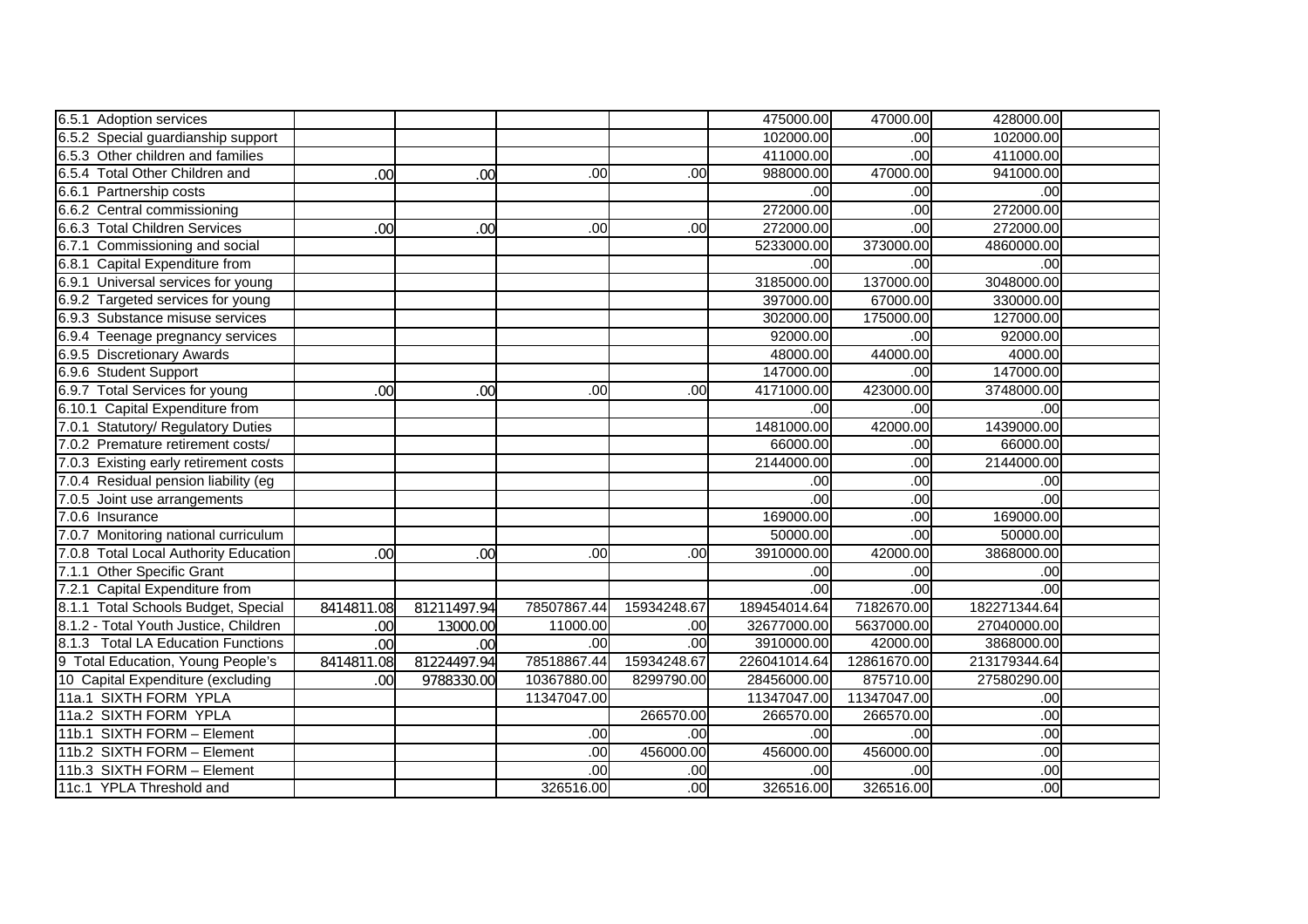| 6.5.1 Adoption services               |            |             |                  |             | 475000.00    | 47000.00    | 428000.00    |  |
|---------------------------------------|------------|-------------|------------------|-------------|--------------|-------------|--------------|--|
| 6.5.2 Special guardianship support    |            |             |                  |             | 102000.00    | .00         | 102000.00    |  |
| 6.5.3 Other children and families     |            |             |                  |             | 411000.00    | .00         | 411000.00    |  |
| 6.5.4 Total Other Children and        | .00        | .00         | .00              | .00         | 988000.00    | 47000.00    | 941000.00    |  |
| 6.6.1 Partnership costs               |            |             |                  |             | .00          | .00         | .00          |  |
| 6.6.2 Central commissioning           |            |             |                  |             | 272000.00    | .00         | 272000.00    |  |
| 6.6.3 Total Children Services         | .00        | .00         | .00 <sub>1</sub> | .00         | 272000.00    | .00         | 272000.00    |  |
| 6.7.1 Commissioning and social        |            |             |                  |             | 5233000.00   | 373000.00   | 4860000.00   |  |
| 6.8.1 Capital Expenditure from        |            |             |                  |             | .00          | .00         | .00          |  |
| 6.9.1 Universal services for young    |            |             |                  |             | 3185000.00   | 137000.00   | 3048000.00   |  |
| 6.9.2 Targeted services for young     |            |             |                  |             | 397000.00    | 67000.00    | 330000.00    |  |
| 6.9.3 Substance misuse services       |            |             |                  |             | 302000.00    | 175000.00   | 127000.00    |  |
| 6.9.4 Teenage pregnancy services      |            |             |                  |             | 92000.00     | .00         | 92000.00     |  |
| 6.9.5 Discretionary Awards            |            |             |                  |             | 48000.00     | 44000.00    | 4000.00      |  |
| 6.9.6 Student Support                 |            |             |                  |             | 147000.00    | .00         | 147000.00    |  |
| 6.9.7 Total Services for young        | .00        | .00         | .00              | .00         | 4171000.00   | 423000.00   | 3748000.00   |  |
| 6.10.1 Capital Expenditure from       |            |             |                  |             | .00          | .00         | .00          |  |
| 7.0.1 Statutory/ Regulatory Duties    |            |             |                  |             | 1481000.00   | 42000.00    | 1439000.00   |  |
| 7.0.2 Premature retirement costs/     |            |             |                  |             | 66000.00     | .00         | 66000.00     |  |
| 7.0.3 Existing early retirement costs |            |             |                  |             | 2144000.00   | .00         | 2144000.00   |  |
| 7.0.4 Residual pension liability (eg  |            |             |                  |             | .00          | .00         | .00          |  |
| 7.0.5 Joint use arrangements          |            |             |                  |             | .00          | .00         | .00          |  |
| 7.0.6 Insurance                       |            |             |                  |             | 169000.00    | .00         | 169000.00    |  |
| 7.0.7 Monitoring national curriculum  |            |             |                  |             | 50000.00     | .00         | 50000.00     |  |
| 7.0.8 Total Local Authority Education | .00        | .00         | .00              | .00         | 3910000.00   | 42000.00    | 3868000.00   |  |
| 7.1.1 Other Specific Grant            |            |             |                  |             | .00          | .00         | .00          |  |
| 7.2.1 Capital Expenditure from        |            |             |                  |             | .00          | .00         | .00          |  |
| 8.1.1 Total Schools Budget, Special   | 8414811.08 | 81211497.94 | 78507867.44      | 15934248.67 | 189454014.64 | 7182670.00  | 182271344.64 |  |
| 8.1.2 - Total Youth Justice, Children | .00        | 13000.00    | 11000.00         | .00         | 32677000.00  | 5637000.00  | 27040000.00  |  |
| 8.1.3 Total LA Education Functions    | .00        | .00         | .00              | .00         | 3910000.00   | 42000.00    | 3868000.00   |  |
| 9 Total Education, Young People's     | 8414811.08 | 81224497.94 | 78518867.44      | 15934248.67 | 226041014.64 | 12861670.00 | 213179344.64 |  |
| 10 Capital Expenditure (excluding     | .00        | 9788330.00  | 10367880.00      | 8299790.00  | 28456000.00  | 875710.00   | 27580290.00  |  |
| 11a.1 SIXTH FORM YPLA                 |            |             | 11347047.00      |             | 11347047.00  | 11347047.00 | .00          |  |
| 11a.2 SIXTH FORM YPLA                 |            |             |                  | 266570.00   | 266570.00    | 266570.00   | .00          |  |
| 11b.1 SIXTH FORM - Element            |            |             | .00              | .00         | .00          | .00         | .00          |  |
| 11b.2 SIXTH FORM - Element            |            |             | .00              | 456000.00   | 456000.00    | 456000.00   | .00          |  |
| 11b.3 SIXTH FORM - Element            |            |             | .00              | .00         | .00          | .00         | .00          |  |
| 11c.1 YPLA Threshold and              |            |             | 326516.00        | .00         | 326516.00    | 326516.00   | .00          |  |